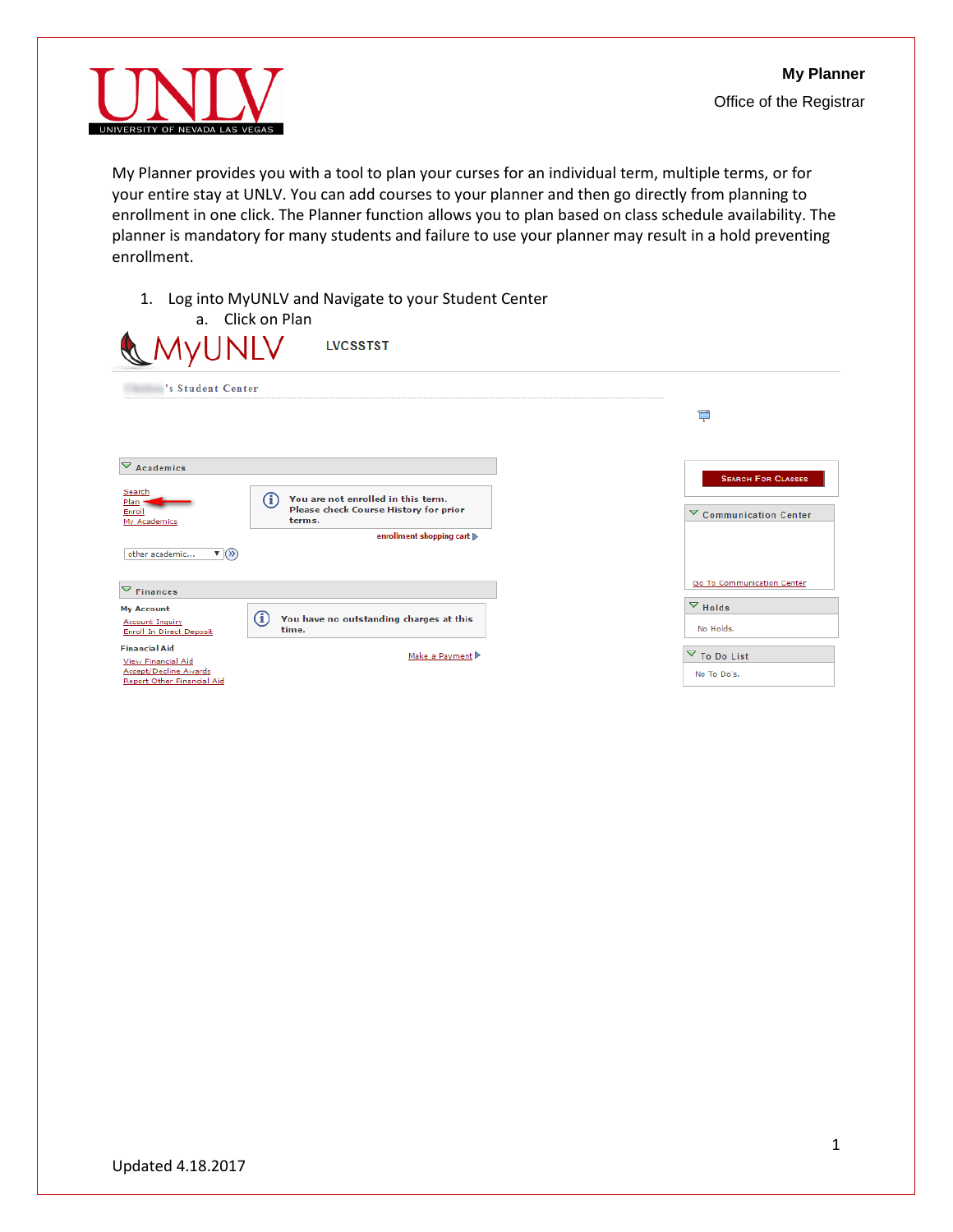

My Planner provides you with a tool to plan your curses for an individual term, multiple terms, or for your entire stay at UNLV. You can add courses to your planner and then go directly from planning to enrollment in one click. The Planner function allows you to plan based on class schedule availability. The planner is mandatory for many students and failure to use your planner may result in a hold preventing enrollment.

1. Log into MyUNLV and Navigate to your Student Center

| MyUNLV                                                                                            | a. Click on Plan<br><b>LVCSSTST</b>                                                                        |                                      |
|---------------------------------------------------------------------------------------------------|------------------------------------------------------------------------------------------------------------|--------------------------------------|
| 's Student Center                                                                                 |                                                                                                            |                                      |
|                                                                                                   |                                                                                                            | Ţ                                    |
|                                                                                                   |                                                                                                            |                                      |
| $\nabla$ Academics                                                                                |                                                                                                            | <b>SEARCH FOR CLASSES</b>            |
| Search<br>Plan<br>Enroll<br>My Academics                                                          | $\left( i\right)$<br>You are not enrolled in this term.<br>Please check Course History for prior<br>terms. | $\triangledown$ Communication Center |
| $\mathbf{v}(\mathbf{v})$<br>other academic                                                        | enrollment shopping cart  >                                                                                |                                      |
| $\nabla$ Finances                                                                                 |                                                                                                            | Go To Communication Center           |
| <b>My Account</b><br><b>Account Inquiry</b><br>Enroll In Direct Deposit                           | G)<br>You have no outstanding charges at this<br>time.                                                     | $\triangledown$ Holds<br>No Holds.   |
| <b>Financial Aid</b><br>View Financial Aid<br>Accept/Decline Awards<br>Report Other Financial Aid | Make a Payment                                                                                             | ▽ To Do List<br>No To Do's.          |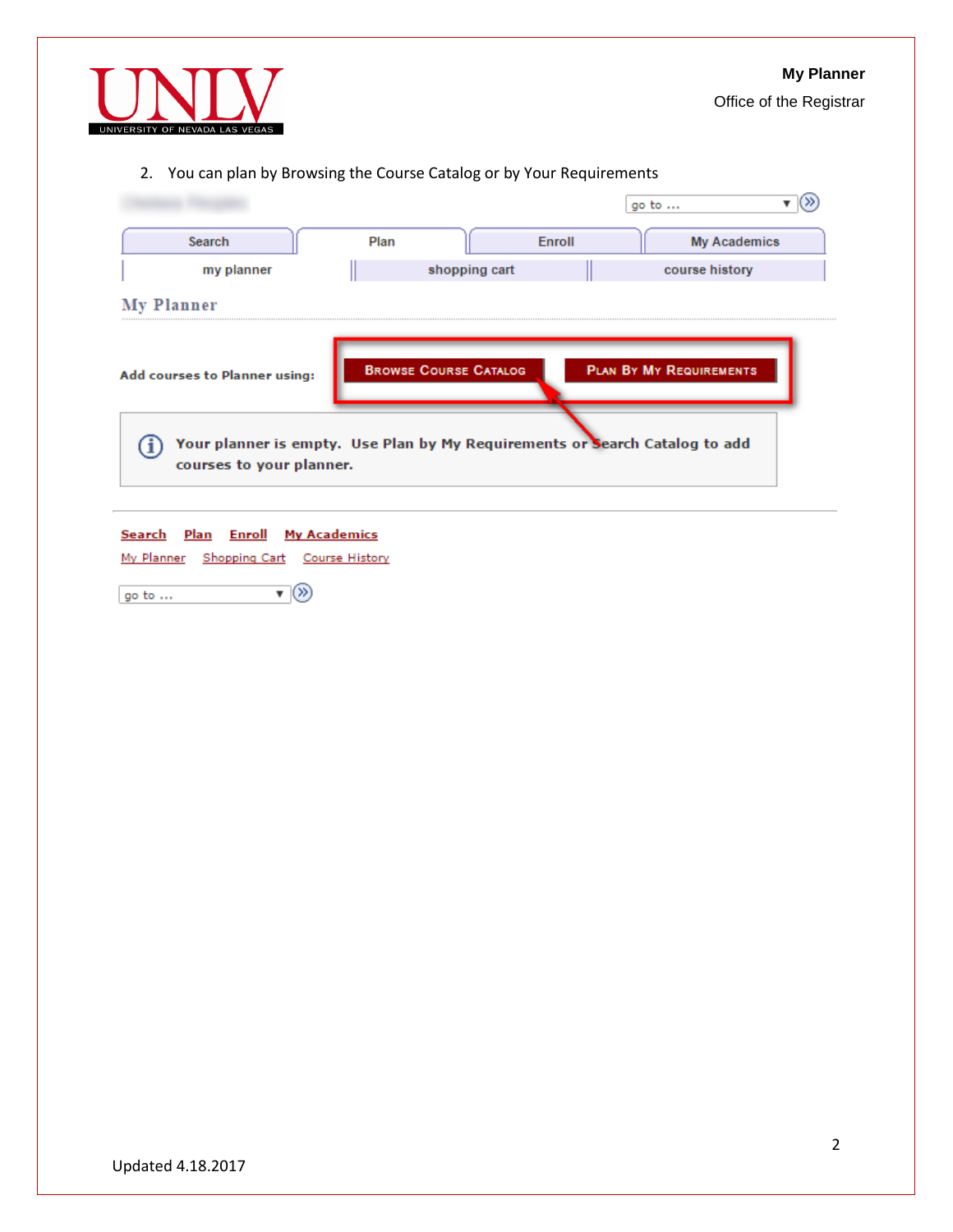

Office of the Registrar

# 2. You can plan by Browsing the Course Catalog or by Your Requirements

|                               |      |                              |        | go to                                                                       |
|-------------------------------|------|------------------------------|--------|-----------------------------------------------------------------------------|
| Search                        | Plan |                              | Enroll | <b>My Academics</b>                                                         |
| my planner                    |      | shopping cart                |        | course history                                                              |
| My Planner                    |      |                              |        |                                                                             |
| Add courses to Planner using: |      | <b>BROWSE COURSE CATALOG</b> |        | <b>PLAN BY MY REQUIREMENTS</b>                                              |
|                               |      |                              |        | Your planner is empty. Use Plan by My Requirements or Search Catalog to add |

Search Plan Enroll My Academics

My Planner Shopping Cart Course History

 $\overline{\mathbf{v}}(\overline{\mathbf{v}})$ go to  $\dots$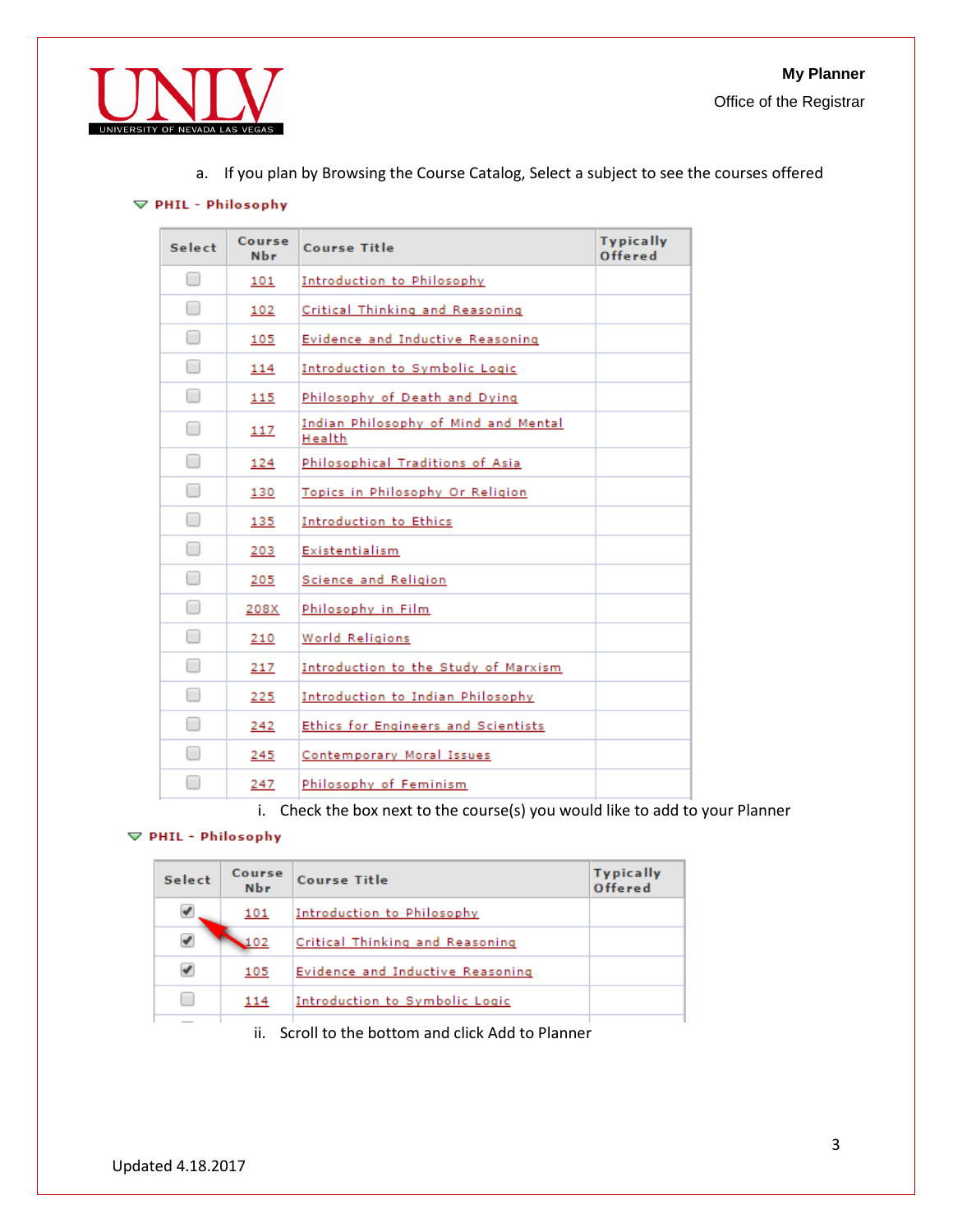

a. If you plan by Browsing the Course Catalog, Select a subject to see the courses offered

### $\triangledown$  PHIL - Philosophy

| <b>Select</b> | Course<br><b>Nbr</b> | Course Title                                          | <b>Typically</b><br>Offered |
|---------------|----------------------|-------------------------------------------------------|-----------------------------|
| $\Box$        | 101                  | Introduction to Philosophy                            |                             |
| $\Box$        | 102                  | Critical Thinking and Reasoning                       |                             |
| $[\ ]$        | 105                  | Evidence and Inductive Reasoning                      |                             |
| □             | 114                  | Introduction to Symbolic Logic                        |                             |
| □             | 115                  | Philosophy of Death and Dying                         |                             |
| □             | 117                  | <u>Indian Philosophy of Mind and Mental</u><br>Health |                             |
| $\Box$        | 124                  | Philosophical Traditions of Asia                      |                             |
| $\Box$        | 130                  | Topics in Philosophy Or Religion                      |                             |
| ∩             | 135                  | Introduction to Ethics                                |                             |
| □             | 203                  | Existentialism                                        |                             |
| □             | 205                  | Science and Religion                                  |                             |
| $\Box$        | 208X                 | Philosophy in Film                                    |                             |
| $\Box$        | 210                  | World Religions                                       |                             |
| $\Box$        | 217                  | Introduction to the Study of Marxism                  |                             |
| ∩             | 225                  | Introduction to Indian Philosophy                     |                             |
| □             | 242                  | Ethics for Engineers and Scientists                   |                             |
| □             | 245                  | Contemporary Moral Issues                             |                             |
| ┓             | 247                  | Philosophy of Feminism                                |                             |

i. Check the box next to the course(s) you would like to add to your Planner

## $\triangledown$  PHIL - Philosophy

| <b>Select</b> | Course<br><b>Nbr</b> | <b>Course Title</b>              | <b>Typically</b><br>Offered |
|---------------|----------------------|----------------------------------|-----------------------------|
|               | 101                  | Introduction to Philosophy       |                             |
|               |                      | Critical Thinking and Reasoning  |                             |
| ✔             | 105                  | Evidence and Inductive Reasoning |                             |
|               | 114                  | Introduction to Symbolic Logic   |                             |
|               |                      |                                  |                             |

ii. Scroll to the bottom and click Add to Planner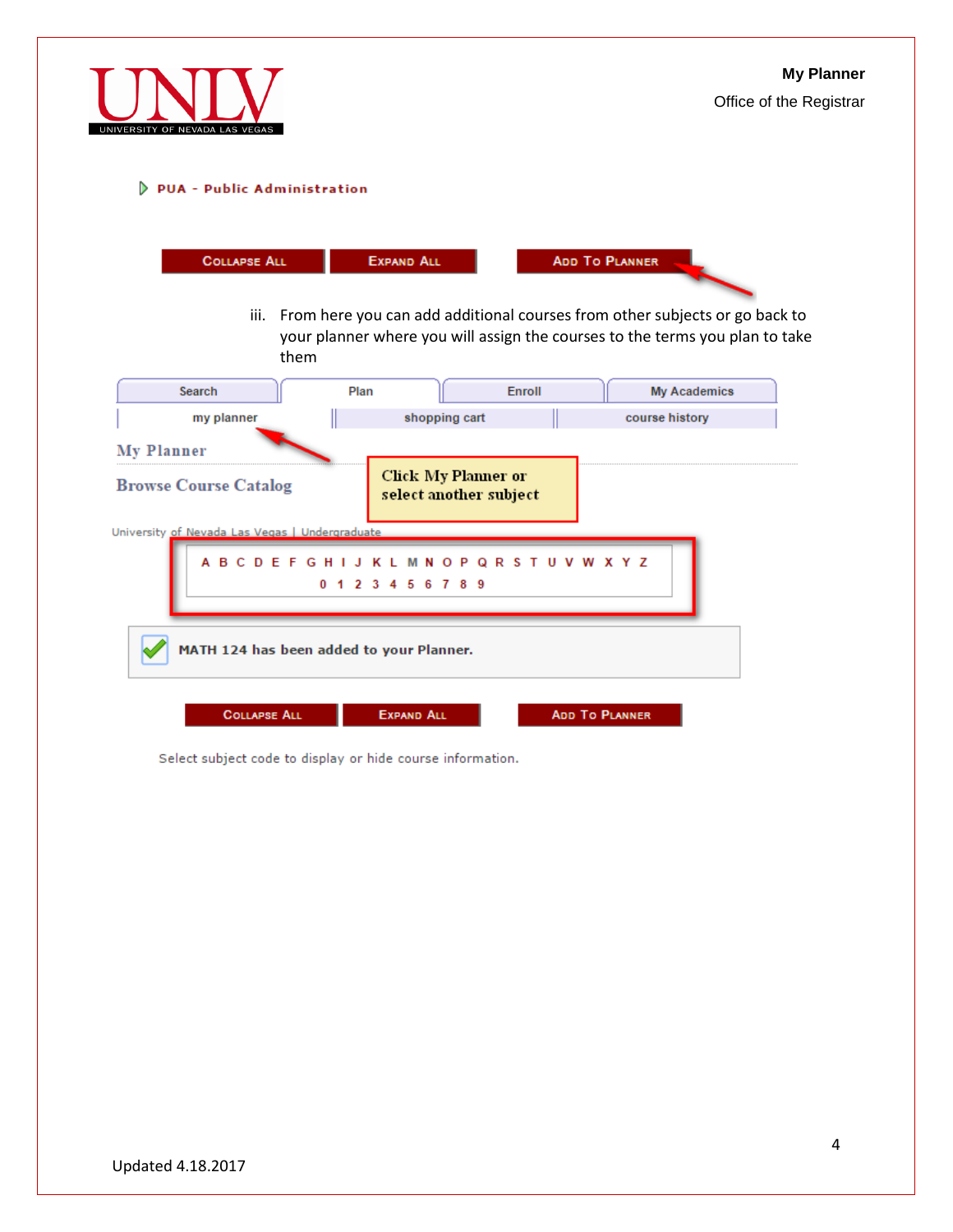

## D PUA - Public Administration

| <b>COLLAPSE ALL</b><br>them                       | <b>EXPAND ALL</b> | iii. From here you can add additional courses from other subjects or go back to<br>your planner where you will assign the courses to the terms you plan to take | <b>ADD TO PLANNER</b> |                     |
|---------------------------------------------------|-------------------|-----------------------------------------------------------------------------------------------------------------------------------------------------------------|-----------------------|---------------------|
| Search                                            | Plan              | Enroll                                                                                                                                                          |                       | <b>My Academics</b> |
| my planner                                        |                   | shopping cart                                                                                                                                                   | course history        |                     |
| <b>My Planner</b><br><b>Browse Course Catalog</b> |                   | <b>Click My Planner or</b><br>select another subject                                                                                                            |                       |                     |
| University of Nevada Las Vegas   Undergraduate    | 1 2 3 4 5 6 7 8 9 | A B C D E F G H I J K L M N O P Q R S T U V W X Y Z                                                                                                             |                       |                     |
| MATH 124 has been added to your Planner.          |                   |                                                                                                                                                                 |                       |                     |
| <b>COLLAPSE ALL</b>                               | <b>EXPAND ALL</b> |                                                                                                                                                                 | <b>ADD TO PLANNER</b> |                     |

Select subject code to display or hide course information.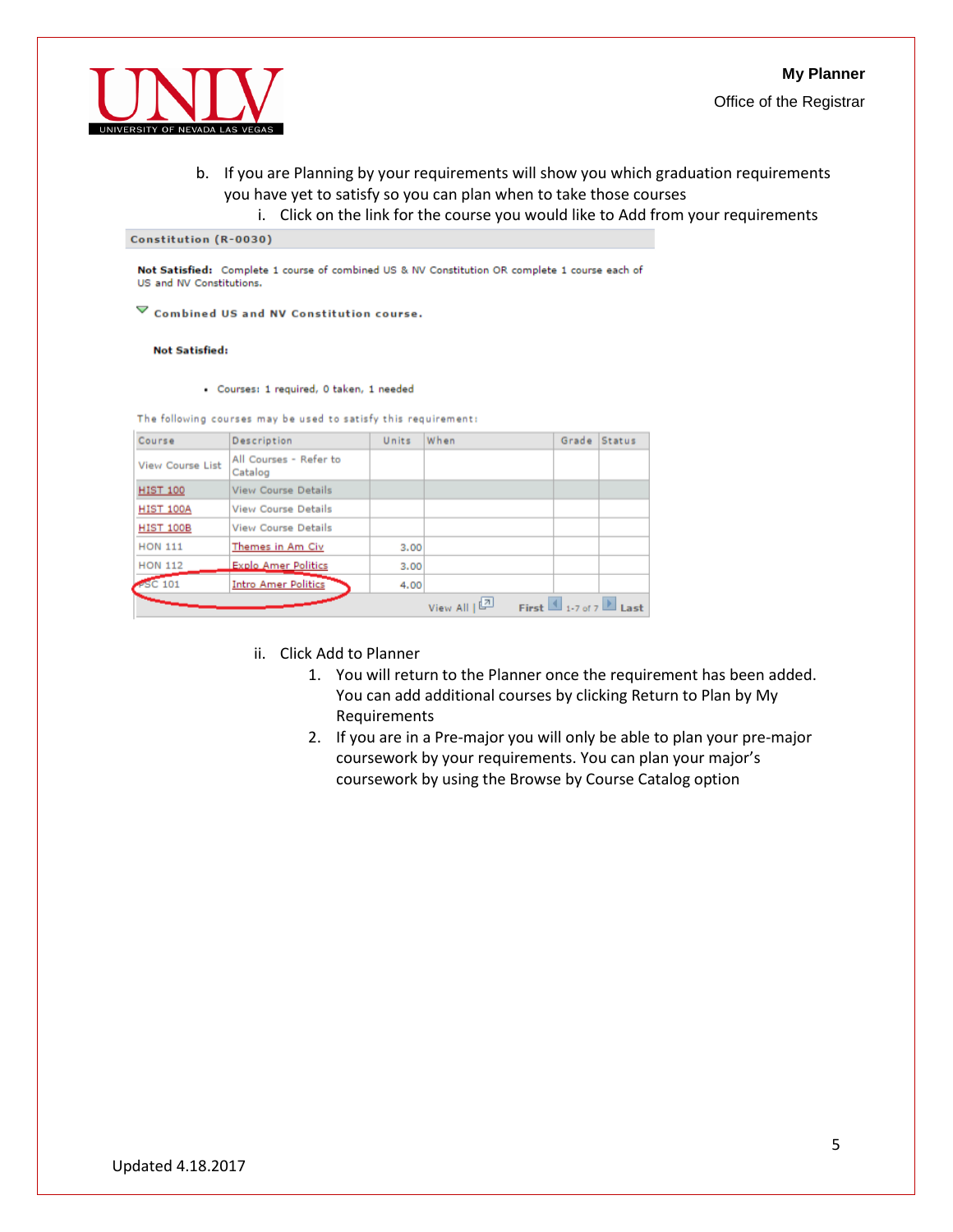



- b. If you are Planning by your requirements will show you which graduation requirements you have yet to satisfy so you can plan when to take those courses
	- i. Click on the link for the course you would like to Add from your requirements

Constitution (R-0030)

Not Satisfied: Complete 1 course of combined US & NV Constitution OR complete 1 course each of US and NV Constitutions.

 $\overline{\triangledown}$  Combined US and NV Constitution course.

**Not Satisfied:** 

- Courses: 1 required, 0 taken, 1 needed

The following courses may be used to satisfy this requirement:

| Course                  | Description                       | Units | When          | Grade Status |                                   |
|-------------------------|-----------------------------------|-------|---------------|--------------|-----------------------------------|
| <b>View Course List</b> | All Courses - Refer to<br>Catalog |       |               |              |                                   |
| <b>HIST 100</b>         | <b>View Course Details</b>        |       |               |              |                                   |
| <b>HIST 100A</b>        | <b>View Course Details</b>        |       |               |              |                                   |
| <b>HIST 100B</b>        | <b>View Course Details</b>        |       |               |              |                                   |
| <b>HON 111</b>          | Themes in Am Civ                  | 3.00  |               |              |                                   |
| <b>HON 112</b>          | <b>Explo Amer Politics</b>        | 3.00  |               |              |                                   |
| $PSC$ 101               | <b>Intro Amer Politics</b>        | 4.00  |               |              |                                   |
|                         |                                   |       | 四<br>View All |              | First $\Box$ 1-7 of 7 $\Box$ Last |

- ii. Click Add to Planner
	- 1. You will return to the Planner once the requirement has been added. You can add additional courses by clicking Return to Plan by My Requirements
	- 2. If you are in a Pre-major you will only be able to plan your pre-major coursework by your requirements. You can plan your major's coursework by using the Browse by Course Catalog option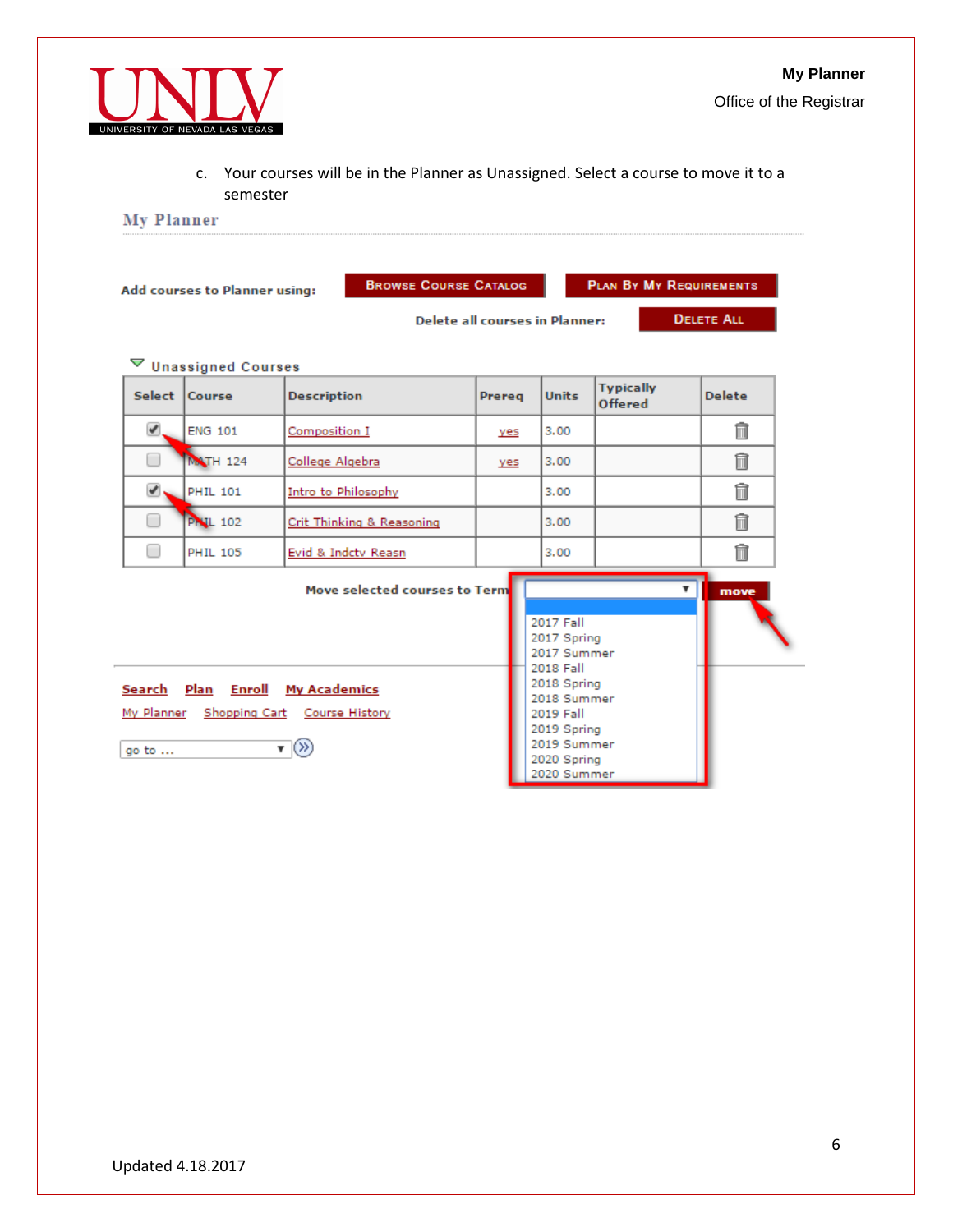

c. Your courses will be in the Planner as Unassigned. Select a course to move it to a semester

**My Planner** 

|                               | Add courses to Planner using: | <b>BROWSE COURSE CATALOG</b>                                                                     |        |                                                                                                                                                             | <b>PLAN BY MY REQUIREMENTS</b>     |                   |
|-------------------------------|-------------------------------|--------------------------------------------------------------------------------------------------|--------|-------------------------------------------------------------------------------------------------------------------------------------------------------------|------------------------------------|-------------------|
|                               |                               |                                                                                                  |        | Delete all courses in Planner:                                                                                                                              |                                    | <b>DELETE ALL</b> |
| ▽                             | <b>Unassigned Courses</b>     |                                                                                                  |        |                                                                                                                                                             |                                    |                   |
|                               | Select Course                 | <b>Description</b>                                                                               | Prereq | <b>Units</b>                                                                                                                                                | <b>Typically</b><br><b>Offered</b> | <b>Delete</b>     |
| ✔                             | <b>ENG 101</b>                | Composition I                                                                                    | ves    | 3.00                                                                                                                                                        |                                    | 俞                 |
|                               | <b>MATH 124</b>               | College Algebra                                                                                  | yes    | 3.00                                                                                                                                                        |                                    | 氚                 |
| ✔                             | <b>PHIL 101</b>               | Intro to Philosophy                                                                              |        | 3.00                                                                                                                                                        |                                    | 俞                 |
| ▄                             | <b>Pr IL 102</b>              | Crit Thinking & Reasoning                                                                        |        | 3.00                                                                                                                                                        |                                    | 俞                 |
| □                             | <b>PHIL 105</b>               | Evid & Indctv Reasn                                                                              |        | 3.00                                                                                                                                                        |                                    | 侖                 |
|                               |                               | Move selected courses to Term                                                                    |        |                                                                                                                                                             |                                    | ▼<br>move         |
| Search Plan<br>go to $\ldots$ | Enroll                        | <b>My Academics</b><br>My Planner Shopping Cart Course History<br>$\mathbf{v}$ $\langle \rangle$ |        | 2017 Fall<br>2017 Spring<br>2017 Summer<br>2018 Fall<br>2018 Spring<br>2018 Summer<br>2019 Fall<br>2019 Spring<br>2019 Summer<br>2020 Spring<br>2020 Summer |                                    |                   |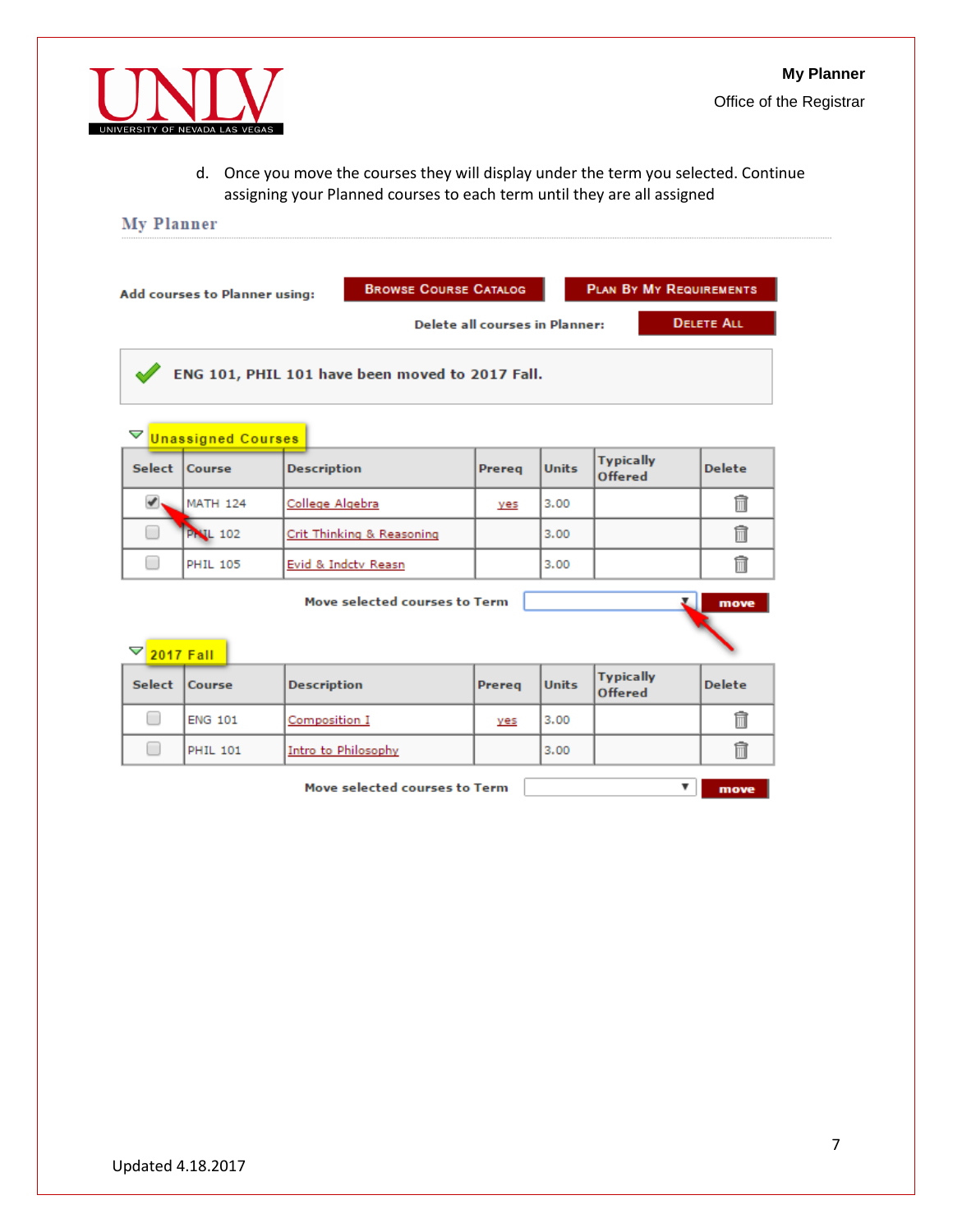

d. Once you move the courses they will display under the term you selected. Continue assigning your Planned courses to each term until they are all assigned

# **My Planner**

| <b>PLAN BY MY REQUIREMENTS</b><br><b>BROWSE COURSE CATALOG</b><br>Add courses to Planner using:<br><b>DELETE ALL</b><br>Delete all courses in Planner: |                                            |                           |        |              |                                    |               |  |  |  |
|--------------------------------------------------------------------------------------------------------------------------------------------------------|--------------------------------------------|---------------------------|--------|--------------|------------------------------------|---------------|--|--|--|
| ENG 101, PHIL 101 have been moved to 2017 Fall.                                                                                                        |                                            |                           |        |              |                                    |               |  |  |  |
| ▽                                                                                                                                                      | <b>Unassigned Courses</b>                  |                           |        |              |                                    |               |  |  |  |
|                                                                                                                                                        | Select Course                              | <b>Description</b>        | Prereg | <b>Units</b> | <b>Typically</b><br><b>Offered</b> | <b>Delete</b> |  |  |  |
| ✔                                                                                                                                                      | <b>MATH 124</b>                            | College Algebra           | yes    | 3.00         |                                    | m             |  |  |  |
| □                                                                                                                                                      | <b>Pr L 102</b>                            | Crit Thinking & Reasoning |        | 3.00         |                                    | 俞             |  |  |  |
| ┓                                                                                                                                                      | <b>PHIL 105</b>                            | Evid & Indctv Reasn       |        | 3.00         |                                    | 侖             |  |  |  |
| Move selected courses to Term<br>move                                                                                                                  |                                            |                           |        |              |                                    |               |  |  |  |
| ▽<br><b>2017 Fall</b>                                                                                                                                  |                                            |                           |        |              |                                    |               |  |  |  |
| <b>Select</b>                                                                                                                                          | Course                                     | <b>Description</b>        | Prereg | <b>Units</b> | <b>Typically</b><br>Offered        | <b>Delete</b> |  |  |  |
| □                                                                                                                                                      | <b>ENG 101</b>                             | Composition I             | yes    | 3.00         |                                    | 俞             |  |  |  |
| ▅                                                                                                                                                      | <b>PHIL 101</b>                            | Intro to Philosophy       |        | 3.00         |                                    | 侖             |  |  |  |
|                                                                                                                                                        | Move selected courses to Term<br>▼<br>move |                           |        |              |                                    |               |  |  |  |